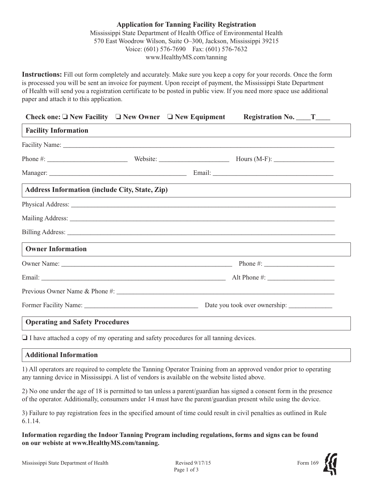## **Application for Tanning Facility Registration** Mississippi State Department of Health Office of Environmental Health 570 East Woodrow Wilson, Suite O–300, Jackson, Mississippi 39215 Voice: (601) 576-7690 Fax: (601) 576-7632 www.HealthyMS.com/tanning

**Instructions:** Fill out form completely and accurately. Make sure you keep a copy for your records. Once the form is processed you will be sent an invoice for payment. Upon receipt of payment, the Mississippi State Department of Health will send you a registration certificate to be posted in public view. If you need more space use additional paper and attach it to this application.

| Check one: $\Box$ New Facility $\Box$ New Owner $\Box$ New Equipment                                                                                                                                                           |  | Registration No. $T_{\_\_\_\_T}$                                                 |  |
|--------------------------------------------------------------------------------------------------------------------------------------------------------------------------------------------------------------------------------|--|----------------------------------------------------------------------------------|--|
| <b>Facility Information</b>                                                                                                                                                                                                    |  | ,我们也不会有什么。""我们的人,我们也不会有什么?""我们的人,我们也不会有什么?""我们的人,我们也不会有什么?""我们的人,我们也不会有什么?""我们的人 |  |
|                                                                                                                                                                                                                                |  |                                                                                  |  |
|                                                                                                                                                                                                                                |  |                                                                                  |  |
|                                                                                                                                                                                                                                |  |                                                                                  |  |
| <b>Address Information (include City, State, Zip)</b>                                                                                                                                                                          |  |                                                                                  |  |
| Physical Address: No. 2014. The Contract of the Contract of the Contract of the Contract of the Contract of the Contract of the Contract of the Contract of the Contract of the Contract of the Contract of the Contract of th |  |                                                                                  |  |
|                                                                                                                                                                                                                                |  |                                                                                  |  |
|                                                                                                                                                                                                                                |  |                                                                                  |  |
| <b>Owner Information</b>                                                                                                                                                                                                       |  |                                                                                  |  |
|                                                                                                                                                                                                                                |  |                                                                                  |  |
|                                                                                                                                                                                                                                |  |                                                                                  |  |
|                                                                                                                                                                                                                                |  |                                                                                  |  |
|                                                                                                                                                                                                                                |  |                                                                                  |  |
| <b>Operating and Safety Procedures</b>                                                                                                                                                                                         |  |                                                                                  |  |

❏ I have attached a copy of my operating and safety procedures for all tanning devices.

## **Additional Information**

1) All operators are required to complete the Tanning Operator Training from an approved vendor prior to operating any tanning device in Mississippi. A list of vendors is available on the website listed above.

2) No one under the age of 18 is permitted to tan unless a parent/guardian has signed a consent form in the presence of the operator. Additionally, consumers under 14 must have the parent/guardian present while using the device.

3) Failure to pay registration fees in the specified amount of time could result in civil penalties as outlined in Rule 6.1.14.

**Information regarding the Indoor Tanning Program including regulations, forms and signs can be found on our webiste at www.HealthyMS.com/tanning.**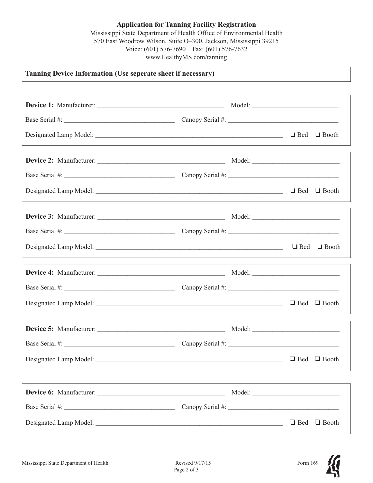**Application for Tanning Facility Registration** Mississippi State Department of Health Office of Environmental Health 570 East Woodrow Wilson, Suite O–300, Jackson, Mississippi 39215 Voice: (601) 576-7690 Fax: (601) 576-7632 www.HealthyMS.com/tanning

## **Tanning Device Information (Use seperate sheet if necessary)**

|                                                                                                                                                                                                                               | ,我们也不会有什么。""我们的人,我们也不会有什么?""我们的人,我们也不会有什么?""我们的人,我们也不会有什么?""我们的人,我们也不会有什么?""我们的人 |                         |
|-------------------------------------------------------------------------------------------------------------------------------------------------------------------------------------------------------------------------------|----------------------------------------------------------------------------------|-------------------------|
|                                                                                                                                                                                                                               |                                                                                  |                         |
|                                                                                                                                                                                                                               |                                                                                  |                         |
| Designated Lamp Model: △ Booth Booth Booth Booth Booth Booth Booth Booth Booth Booth Booth Booth Booth Booth Booth Booth Booth Booth Booth Booth Booth Booth Booth Booth Booth Booth Booth Booth Booth Booth Booth Booth Boot |                                                                                  |                         |
|                                                                                                                                                                                                                               |                                                                                  |                         |
|                                                                                                                                                                                                                               |                                                                                  |                         |
| Designated Lamp Model: △ Booth Booth Booth Booth Booth Booth Booth Booth Booth Booth Booth Booth Booth Booth Booth Booth Booth Booth Booth Booth Booth Booth Booth Booth Booth Booth Booth Booth Booth Booth Booth Booth Boot |                                                                                  |                         |
|                                                                                                                                                                                                                               |                                                                                  |                         |
|                                                                                                                                                                                                                               |                                                                                  |                         |
|                                                                                                                                                                                                                               |                                                                                  | $\Box$ Bed $\Box$ Booth |
|                                                                                                                                                                                                                               |                                                                                  |                         |
|                                                                                                                                                                                                                               |                                                                                  |                         |
| Designated Lamp Model:                                                                                                                                                                                                        |                                                                                  | $\Box$ Bed $\Box$ Booth |
|                                                                                                                                                                                                                               |                                                                                  |                         |
|                                                                                                                                                                                                                               |                                                                                  |                         |
|                                                                                                                                                                                                                               |                                                                                  |                         |
|                                                                                                                                                                                                                               |                                                                                  | $\Box$ Bed $\Box$ Booth |